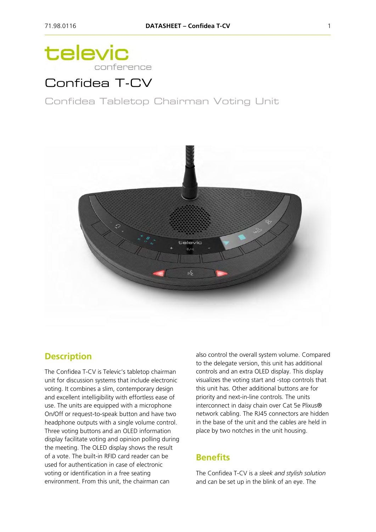# televic conference

# Confidea T-CV

Confidea Tabletop Chairman Voting Unit



### **Description**

The Confidea T-CV is Televic's tabletop chairman unit for discussion systems that include electronic voting. It combines a slim, contemporary design and excellent intelligibility with effortless ease of use. The units are equipped with a microphone On/Off or request-to-speak button and have two headphone outputs with a single volume control. Three voting buttons and an OLED information display facilitate voting and opinion polling during the meeting. The OLED display shows the result of a vote. The built-in RFID card reader can be used for authentication in case of electronic voting or identification in a free seating environment. From this unit, the chairman can

also control the overall system volume. Compared to the delegate version, this unit has additional controls and an extra OLED display. This display visualizes the voting start and -stop controls that this unit has. Other additional buttons are for priority and next-in-line controls. The units interconnect in daisy chain over Cat 5e Plixus® network cabling. The RJ45 connectors are hidden in the base of the unit and the cables are held in place by two notches in the unit housing.

### **Benefits**

The Confidea T-CV is a *sleek and stylish solution* and can be set up in the blink of an eye. The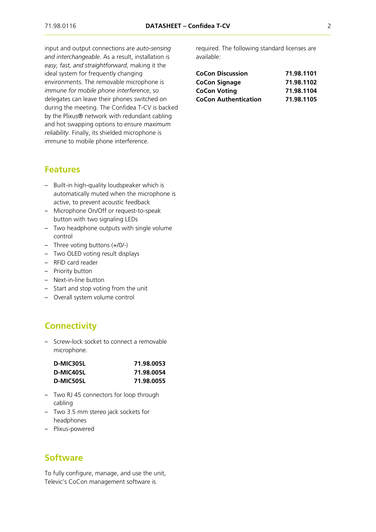input and output connections are *auto-sensing and interchangeable*. As a result, installation is *easy, fast, and straightforward*, making it the ideal system for frequently changing environments. The removable microphone is *immune for mobile phone interference*, so delegates can leave their phones switched on during the meeting. The Confidea T-CV is backed by the Plixus® network with redundant cabling and hot swapping options to ensure *maximum reliability*. Finally, its shielded microphone is immune to mobile phone interference.

#### **Features**

- Built-in high-quality loudspeaker which is automatically muted when the microphone is active, to prevent acoustic feedback
- ‒ Microphone On/Off or request-to-speak button with two signaling LEDs
- Two headphone outputs with single volume control
- ‒ Three voting buttons (+/0/-)
- Two OLED voting result displays
- RFID card reader
- Priority button
- Next-in-line button
- ‒ Start and stop voting from the unit
- Overall system volume control

### **Connectivity**

‒ Screw-lock socket to connect a removable microphone.

| D-MIC30SL | 71.98.0053 |  |
|-----------|------------|--|
| D-MIC40SL | 71.98.0054 |  |
| D-MIC50SL | 71.98.0055 |  |

- ‒ Two RJ 45 connectors for loop through cabling
- ‒ Two 3.5 mm stereo jack sockets for headphones
- ‒ Plixus-powered

#### **Software**

To fully configure, manage, and use the unit, Televic's CoCon management software is

required. The following standard licenses are available:

| <b>CoCon Discussion</b>     | 71.98.1101 |
|-----------------------------|------------|
| <b>CoCon Signage</b>        | 71.98.1102 |
| <b>CoCon Voting</b>         | 71.98.1104 |
| <b>CoCon Authentication</b> | 71.98.1105 |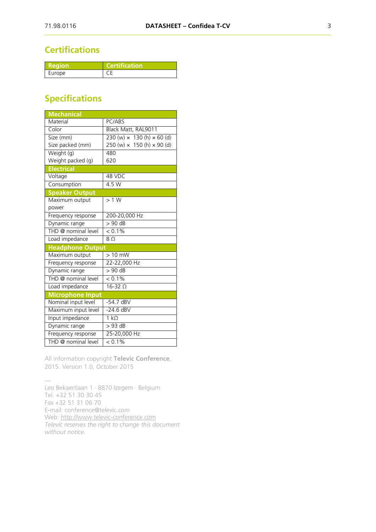### **Certifications**

| Region | <b>Certification</b> |
|--------|----------------------|
| Europe |                      |

## **Specifications**

| <b>Mechanical</b>       |                                                                |
|-------------------------|----------------------------------------------------------------|
| Material                | PC/ABS                                                         |
| Color                   | Black Matt, RAL9011                                            |
| Tize (mm)               | $230 \text{ (w)} \times 130 \text{ (h)} \times 60 \text{ (d)}$ |
| Size packed (mm)        | 250 (w) $\times$ 150 (h) $\times$ 90 (d)                       |
| Weight (g)              | 480                                                            |
| Weight packed (g)       | 620                                                            |
| <b>Electrical</b>       |                                                                |
| Voltage                 | 48 VDC                                                         |
| Consumption             | 4.5W                                                           |
| <b>Speaker Output</b>   |                                                                |
| Maximum output          | >1 W                                                           |
| power                   |                                                                |
| Frequency response      | 200-20,000 Hz                                                  |
| Dynamic range           | $> 90$ dB                                                      |
| THD @ nominal level     | $< 0.1\%$                                                      |
| Load impedance          | 8 <sub>O</sub>                                                 |
| <b>Headphone Output</b> |                                                                |
| Maximum output          | $> 10$ mW                                                      |
| Frequency response      | 22-22,000 Hz                                                   |
| Dynamic range           | $> 90$ dB                                                      |
| THD @ nominal level     | $< 0.1\%$                                                      |
| Load impedance          | $16-32$ $\Omega$                                               |
| <b>Microphone Input</b> |                                                                |
| Nominal input level     | $-54.7$ dBV                                                    |
| Maximum input level     | $-24.6$ dBV                                                    |
| Input impedance         | $1 k\Omega$                                                    |
| Dynamic range           | $>93$ dB                                                       |
| Frequency response      | 25-20,000 Hz                                                   |
| THD @ nominal level     | $< 0.1\%$                                                      |

All information copyright **Televic Conference**, 2015. Version 1.0, October 2015

— Leo Bekaertlaan 1 · 8870 Izegem · Belgium Tel. +32 51 30 30 45 Fax +32 51 31 06 70 E-mail: conference@televic.com Web: [http://www.televic-conference.com](http://www.televic-conference.com/) *Televic reserves the right to change this document without notice.*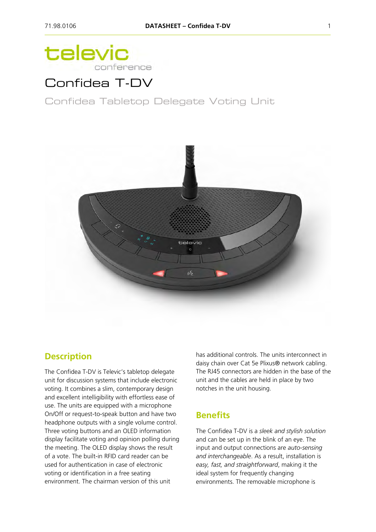# televic conference

# Confidea T-DV

Confidea Tabletop Delegate Voting Unit



### **Description**

The Confidea T-DV is Televic's tabletop delegate unit for discussion systems that include electronic voting. It combines a slim, contemporary design and excellent intelligibility with effortless ease of use. The units are equipped with a microphone On/Off or request-to-speak button and have two headphone outputs with a single volume control. Three voting buttons and an OLED information display facilitate voting and opinion polling during the meeting. The OLED display shows the result of a vote. The built-in RFID card reader can be used for authentication in case of electronic voting or identification in a free seating environment. The chairman version of this unit

has additional controls. The units interconnect in daisy chain over Cat 5e Plixus® network cabling. The RJ45 connectors are hidden in the base of the unit and the cables are held in place by two notches in the unit housing.

#### **Benefits**

The Confidea T-DV is a *sleek and stylish solution* and can be set up in the blink of an eye. The input and output connections are *auto-sensing and interchangeable*. As a result, installation is *easy, fast, and straightforward*, making it the ideal system for frequently changing environments. The removable microphone is